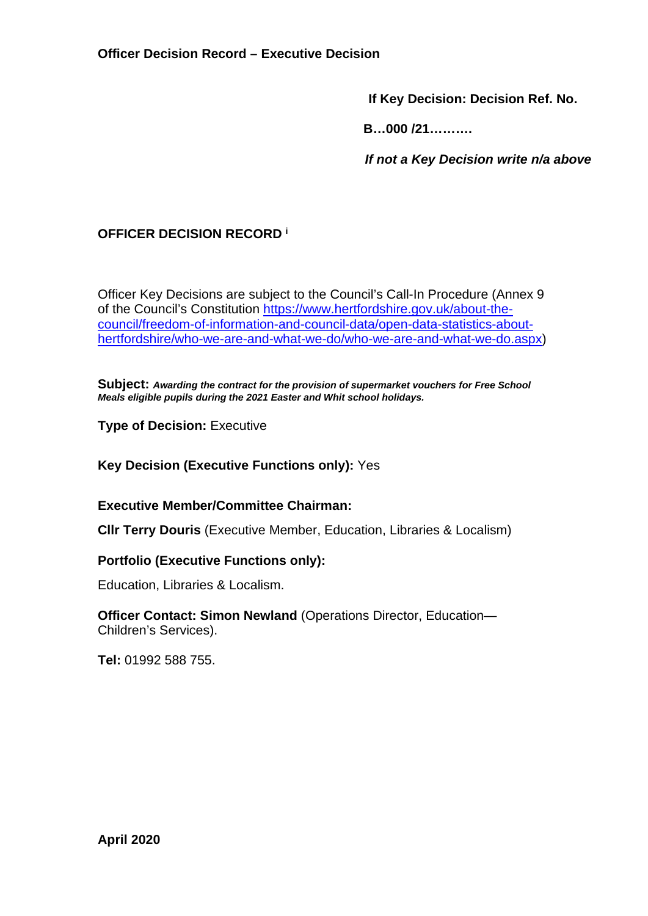**If Key Decision: Decision Ref. No.** 

 **B…000 /21……….** 

 *If not a Key Decision write n/a above* 

# **OFFICER DECISION RECORD <sup>i</sup>**

Officer Key Decisions are subject to the Council's Call-In Procedure (Annex 9 of the Council's Constitution https://www.hertfordshire.gov.uk/about-thecouncil/freedom-of-information-and-council-data/open-data-statistics-abouthertfordshire/who-we-are-and-what-we-do/who-we-are-and-what-we-do.aspx)

**Subject:** *Awarding the contract for the provision of supermarket vouchers for Free School Meals eligible pupils during the 2021 Easter and Whit school holidays.*

**Type of Decision: Executive** 

**Key Decision (Executive Functions only):** Yes

**Executive Member/Committee Chairman:** 

**Cllr Terry Douris** (Executive Member, Education, Libraries & Localism)

## **Portfolio (Executive Functions only):**

Education, Libraries & Localism.

**Officer Contact: Simon Newland** (Operations Director, Education— Children's Services).

**Tel:** 01992 588 755.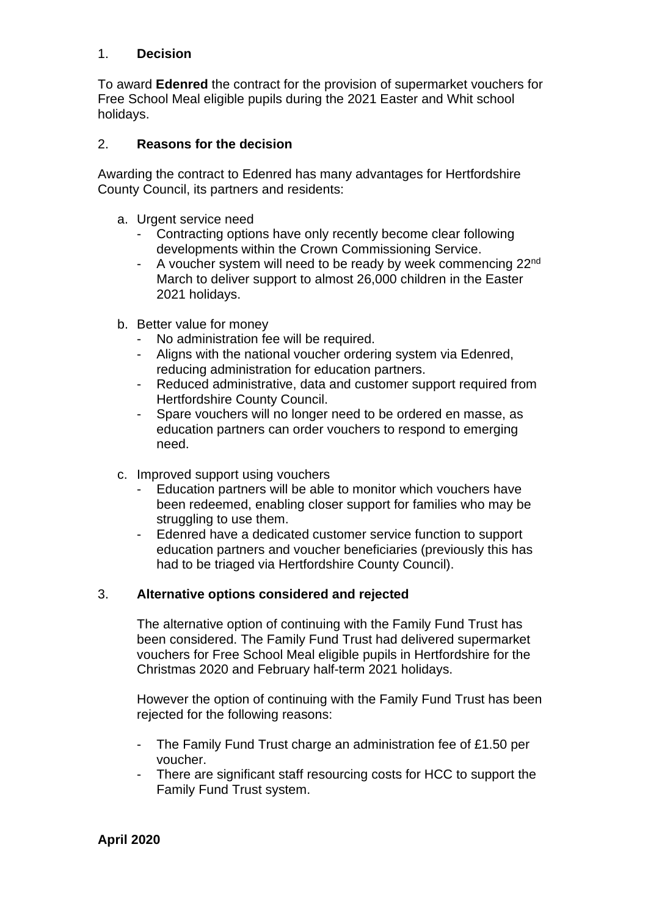### 1. **Decision**

To award **Edenred** the contract for the provision of supermarket vouchers for Free School Meal eligible pupils during the 2021 Easter and Whit school holidays.

#### 2. **Reasons for the decision**

Awarding the contract to Edenred has many advantages for Hertfordshire County Council, its partners and residents:

- a. Urgent service need
	- Contracting options have only recently become clear following developments within the Crown Commissioning Service.
	- A voucher system will need to be ready by week commencing 22<sup>nd</sup> March to deliver support to almost 26,000 children in the Easter 2021 holidays.
- b. Better value for money
	- No administration fee will be required.
	- Aligns with the national voucher ordering system via Edenred, reducing administration for education partners.
	- Reduced administrative, data and customer support required from Hertfordshire County Council.
	- Spare vouchers will no longer need to be ordered en masse, as education partners can order vouchers to respond to emerging need.
- c. Improved support using vouchers
	- Education partners will be able to monitor which vouchers have been redeemed, enabling closer support for families who may be struggling to use them.
	- Edenred have a dedicated customer service function to support education partners and voucher beneficiaries (previously this has had to be triaged via Hertfordshire County Council).

#### 3. **Alternative options considered and rejected**

The alternative option of continuing with the Family Fund Trust has been considered. The Family Fund Trust had delivered supermarket vouchers for Free School Meal eligible pupils in Hertfordshire for the Christmas 2020 and February half-term 2021 holidays.

However the option of continuing with the Family Fund Trust has been rejected for the following reasons:

- The Family Fund Trust charge an administration fee of £1.50 per voucher.
- There are significant staff resourcing costs for HCC to support the Family Fund Trust system.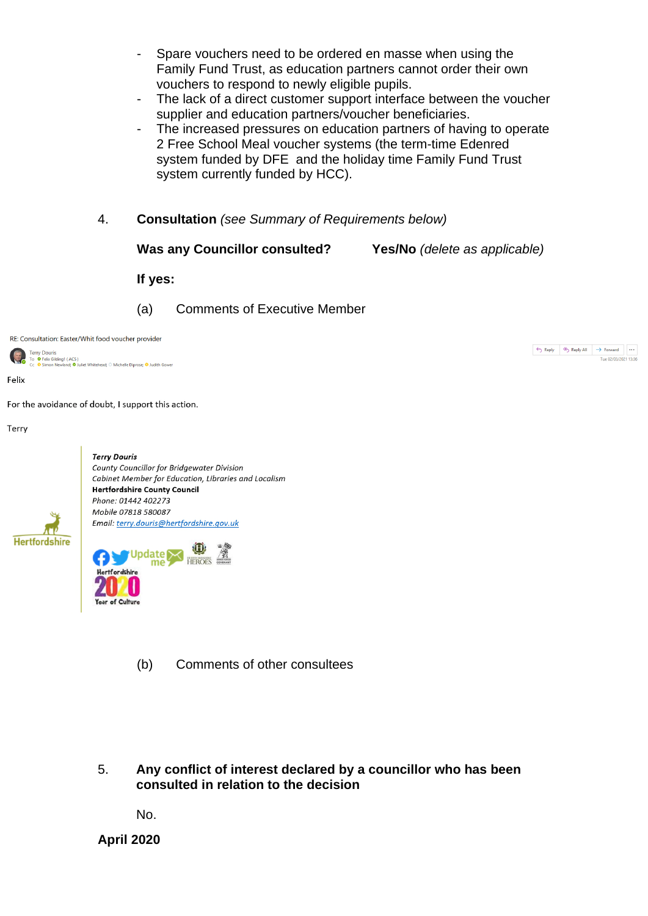- Spare vouchers need to be ordered en masse when using the Family Fund Trust, as education partners cannot order their own vouchers to respond to newly eligible pupils.
- The lack of a direct customer support interface between the voucher supplier and education partners/voucher beneficiaries.
- The increased pressures on education partners of having to operate 2 Free School Meal voucher systems (the term-time Edenred system funded by DFE and the holiday time Family Fund Trust system currently funded by HCC).
- 4. **Consultation** *(see Summary of Requirements below)*
	- **Was any Councillor consulted? Yes/No** *(delete as applicable)*

 $\fbox{$\Leftrightarrow$ \textit{Reply} \begin{array}{|c|c|c|c|c|} \hline $\Leftrightarrow$ \textit{Reply All} & $\rightarrow$ \textit{Forward}$ & $\cdots$ \end{array}$}$ 

Tue 02/03/2021 13:36

**If yes:** 

(a) Comments of Executive Member

RE: Consultation: Easter/Whit food voucher provider

**Terry Douris** Tory Documo<br>To ● Felix Gilding1 ( ACS )<br>Cc ● Simon Newland; ● Juliet Whitehead; ○ Michelle Diprose; ● Judith Gower

Felix

For the avoidance of doubt, I support this action.

Terry



- (b) Comments of other consultees
- 5. **Any conflict of interest declared by a councillor who has been consulted in relation to the decision**

No.

**April 2020**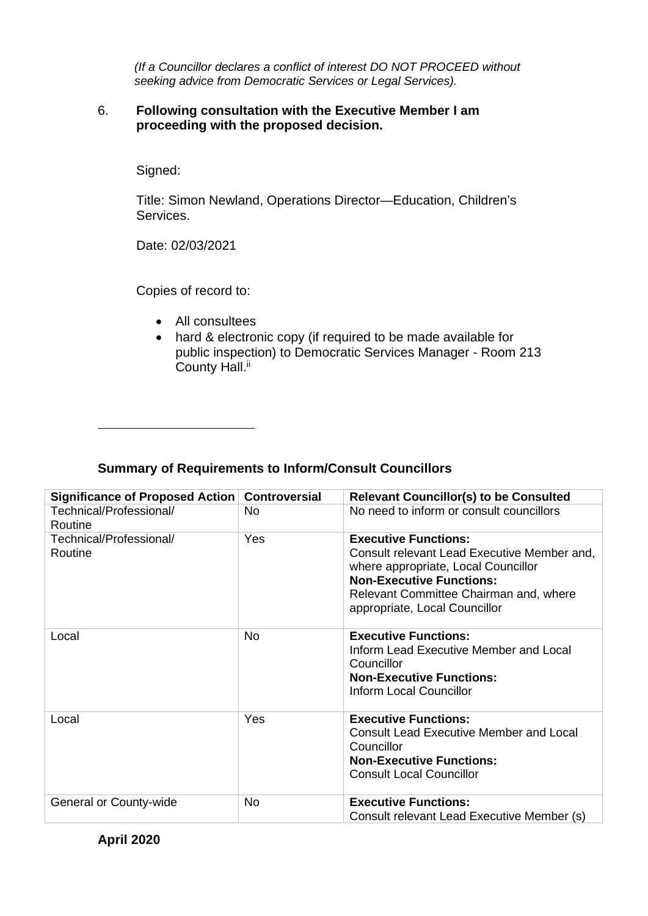*(If a Councillor declares a conflict of interest DO NOT PROCEED without seeking advice from Democratic Services or Legal Services).* 

#### 6. **Following consultation with the Executive Member I am proceeding with the proposed decision.**

Signed:

Title: Simon Newland, Operations Director—Education, Children's Services.

Date: 02/03/2021

Copies of record to:

- All consultees
- hard & electronic copy (if required to be made available for public inspection) to Democratic Services Manager - Room 213 County Hall.<sup>ii</sup>

## **Summary of Requirements to Inform/Consult Councillors**

| Significance of Proposed Action    | <b>Controversial</b> | <b>Relevant Councillor(s) to be Consulted</b>                                                                                                                                                                                   |
|------------------------------------|----------------------|---------------------------------------------------------------------------------------------------------------------------------------------------------------------------------------------------------------------------------|
| Technical/Professional/            | No.                  | No need to inform or consult councillors                                                                                                                                                                                        |
| Routine                            |                      |                                                                                                                                                                                                                                 |
| Technical/Professional/<br>Routine | Yes                  | <b>Executive Functions:</b><br>Consult relevant Lead Executive Member and,<br>where appropriate, Local Councillor<br><b>Non-Executive Functions:</b><br>Relevant Committee Chairman and, where<br>appropriate, Local Councillor |
| Local                              | <b>No</b>            | <b>Executive Functions:</b><br>Inform Lead Executive Member and Local<br>Councillor<br><b>Non-Executive Functions:</b><br>Inform Local Councillor                                                                               |
| Local                              | Yes                  | <b>Executive Functions:</b><br><b>Consult Lead Executive Member and Local</b><br>Councillor<br><b>Non-Executive Functions:</b><br><b>Consult Local Councillor</b>                                                               |
| General or County-wide             | <b>No</b>            | <b>Executive Functions:</b><br>Consult relevant Lead Executive Member (s)                                                                                                                                                       |